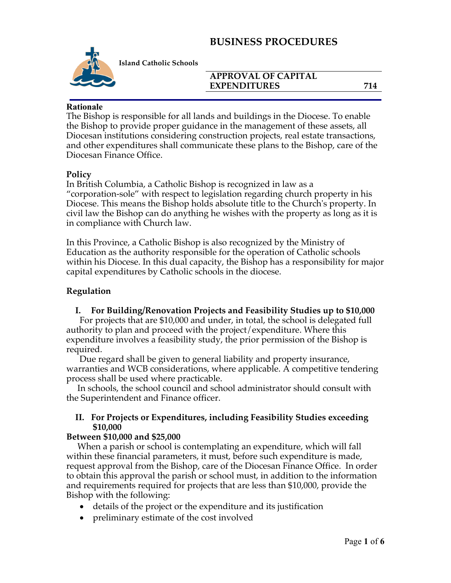

**Island Catholic Schools** 

#### **APPROVAL OF CAPITAL EXPENDITURES** 714

#### **Rationale**

The Bishop is responsible for all lands and buildings in the Diocese. To enable the Bishop to provide proper guidance in the management of these assets, all Diocesan institutions considering construction projects, real estate transactions, and other expenditures shall communicate these plans to the Bishop, care of the Diocesan Finance Office.

#### **Policy**

In British Columbia, a Catholic Bishop is recognized in law as a "corporation-sole" with respect to legislation regarding church property in his Diocese. This means the Bishop holds absolute title to the Church's property. In civil law the Bishop can do anything he wishes with the property as long as it is in compliance with Church law.

In this Province, a Catholic Bishop is also recognized by the Ministry of Education as the authority responsible for the operation of Catholic schools within his Diocese. In this dual capacity, the Bishop has a responsibility for major capital expenditures by Catholic schools in the diocese.

#### **Regulation**

#### **I. For Building/Renovation Projects and Feasibility Studies up to \$10,000**

 For projects that are \$10,000 and under, in total, the school is delegated full authority to plan and proceed with the project/expenditure. Where this expenditure involves a feasibility study, the prior permission of the Bishop is required.

 Due regard shall be given to general liability and property insurance, warranties and WCB considerations, where applicable. A competitive tendering process shall be used where practicable.

 In schools, the school council and school administrator should consult with the Superintendent and Finance officer.

#### **II. For Projects or Expenditures, including Feasibility Studies exceeding \$10,000**

#### **Between \$10,000 and \$25,000**

 When a parish or school is contemplating an expenditure, which will fall within these financial parameters, it must, before such expenditure is made, request approval from the Bishop, care of the Diocesan Finance Office. In order to obtain this approval the parish or school must, in addition to the information and requirements required for projects that are less than \$10,000, provide the Bishop with the following:

- details of the project or the expenditure and its justification
- preliminary estimate of the cost involved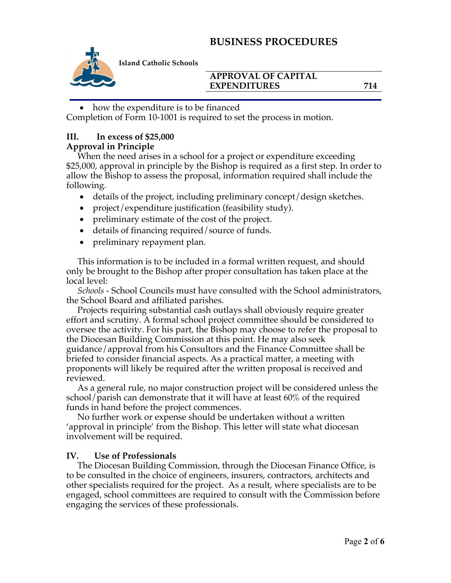

**Island Catholic Schools** 

#### **APPROVAL OF CAPITAL EXPENDITURES** 714

• how the expenditure is to be financed

Completion of Form 10-1001 is required to set the process in motion.

## **III. In excess of \$25,000**

#### **Approval in Principle**

 When the need arises in a school for a project or expenditure exceeding \$25,000, approval in principle by the Bishop is required as a first step. In order to allow the Bishop to assess the proposal, information required shall include the following.

- details of the project, including preliminary concept/design sketches.
- project/expenditure justification (feasibility study).
- preliminary estimate of the cost of the project.
- details of financing required/source of funds.
- preliminary repayment plan.

 This information is to be included in a formal written request, and should only be brought to the Bishop after proper consultation has taken place at the local level:

 *Schools -* School Councils must have consulted with the School administrators, the School Board and affiliated parishes.

 Projects requiring substantial cash outlays shall obviously require greater effort and scrutiny. A formal school project committee should be considered to oversee the activity. For his part, the Bishop may choose to refer the proposal to the Diocesan Building Commission at this point. He may also seek guidance/approval from his Consultors and the Finance Committee shall be briefed to consider financial aspects. As a practical matter, a meeting with proponents will likely be required after the written proposal is received and reviewed.

 As a general rule, no major construction project will be considered unless the school/parish can demonstrate that it will have at least 60% of the required funds in hand before the project commences.

 No further work or expense should be undertaken without a written 'approval in principle' from the Bishop. This letter will state what diocesan involvement will be required.

## **IV. Use of Professionals**

 The Diocesan Building Commission, through the Diocesan Finance Office, is to be consulted in the choice of engineers, insurers, contractors, architects and other specialists required for the project. As a result, where specialists are to be engaged, school committees are required to consult with the Commission before engaging the services of these professionals.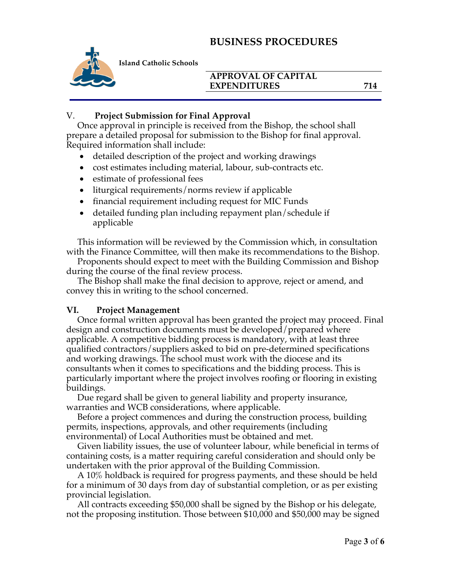

**Island Catholic Schools** 

#### **APPROVAL OF CAPITAL EXPENDITURES** 714

#### V. **Project Submission for Final Approval**

 Once approval in principle is received from the Bishop, the school shall prepare a detailed proposal for submission to the Bishop for final approval. Required information shall include:

- detailed description of the project and working drawings
- cost estimates including material, labour, sub-contracts etc.
- estimate of professional fees
- liturgical requirements/norms review if applicable
- financial requirement including request for MIC Funds
- detailed funding plan including repayment plan/schedule if applicable

 This information will be reviewed by the Commission which, in consultation with the Finance Committee, will then make its recommendations to the Bishop.

 Proponents should expect to meet with the Building Commission and Bishop during the course of the final review process.

 The Bishop shall make the final decision to approve, reject or amend, and convey this in writing to the school concerned.

## **VI. Project Management**

 Once formal written approval has been granted the project may proceed. Final design and construction documents must be developed/prepared where applicable. A competitive bidding process is mandatory, with at least three qualified contractors/suppliers asked to bid on pre-determined specifications and working drawings. The school must work with the diocese and its consultants when it comes to specifications and the bidding process. This is particularly important where the project involves roofing or flooring in existing buildings.

 Due regard shall be given to general liability and property insurance, warranties and WCB considerations, where applicable.

 Before a project commences and during the construction process, building permits, inspections, approvals, and other requirements (including environmental) of Local Authorities must be obtained and met.

 Given liability issues, the use of volunteer labour, while beneficial in terms of containing costs, is a matter requiring careful consideration and should only be undertaken with the prior approval of the Building Commission.

 A 10% holdback is required for progress payments, and these should be held for a minimum of 30 days from day of substantial completion, or as per existing provincial legislation.

 All contracts exceeding \$50,000 shall be signed by the Bishop or his delegate, not the proposing institution. Those between \$10,000 and \$50,000 may be signed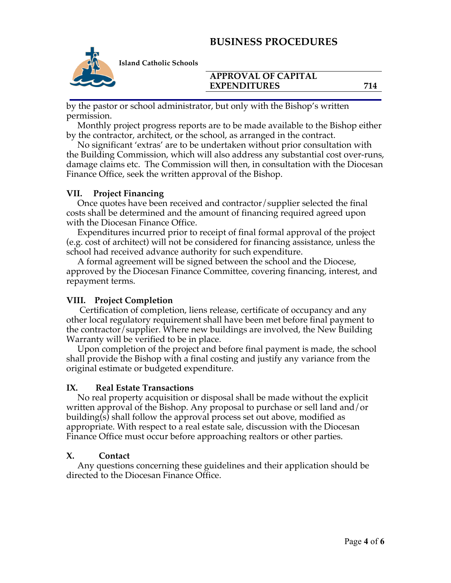

**Island Catholic Schools** 

#### **APPROVAL OF CAPITAL EXPENDITURES** 714

by the pastor or school administrator, but only with the Bishop's written permission.

 Monthly project progress reports are to be made available to the Bishop either by the contractor, architect, or the school, as arranged in the contract.

 No significant 'extras' are to be undertaken without prior consultation with the Building Commission, which will also address any substantial cost over-runs, damage claims etc. The Commission will then, in consultation with the Diocesan Finance Office, seek the written approval of the Bishop.

#### **VII. Project Financing**

 Once quotes have been received and contractor/supplier selected the final costs shall be determined and the amount of financing required agreed upon with the Diocesan Finance Office.

 Expenditures incurred prior to receipt of final formal approval of the project (e.g. cost of architect) will not be considered for financing assistance, unless the school had received advance authority for such expenditure.

 A formal agreement will be signed between the school and the Diocese, approved by the Diocesan Finance Committee, covering financing, interest, and repayment terms.

## **VIII. Project Completion**

 Certification of completion, liens release, certificate of occupancy and any other local regulatory requirement shall have been met before final payment to the contractor/supplier. Where new buildings are involved, the New Building Warranty will be verified to be in place.

 Upon completion of the project and before final payment is made, the school shall provide the Bishop with a final costing and justify any variance from the original estimate or budgeted expenditure.

#### **IX. Real Estate Transactions**

 No real property acquisition or disposal shall be made without the explicit written approval of the Bishop. Any proposal to purchase or sell land and/or building(s) shall follow the approval process set out above, modified as appropriate. With respect to a real estate sale, discussion with the Diocesan Finance Office must occur before approaching realtors or other parties.

#### **X. Contact**

 Any questions concerning these guidelines and their application should be directed to the Diocesan Finance Office.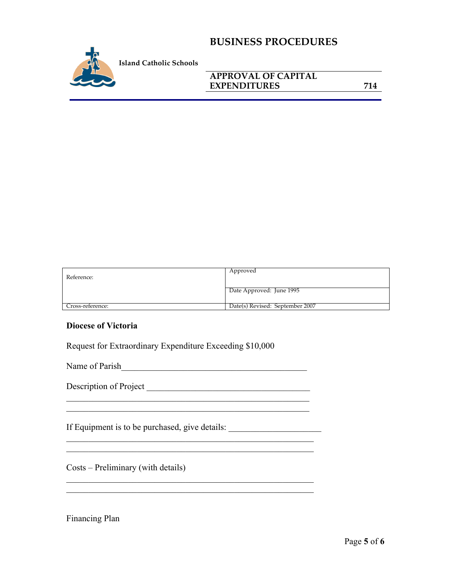

## **APPROVAL OF CAPITAL EXPENDITURES** 714

Reference: Approved Date Approved: June 1995 Cross-reference: Date(s) Revised: September 2007

#### **Diocese of Victoria**

Request for Extraordinary Expenditure Exceeding \$10,000

Name of Parish

 $\mathcal{L}_\text{max}$  and  $\mathcal{L}_\text{max}$  and  $\mathcal{L}_\text{max}$  and  $\mathcal{L}_\text{max}$  and  $\mathcal{L}_\text{max}$ 

\_\_\_\_\_\_\_\_\_\_\_\_\_\_\_\_\_\_\_\_\_\_\_\_\_\_\_\_\_\_\_\_\_\_\_\_\_\_\_\_\_\_\_\_\_\_\_\_\_\_\_\_\_\_\_\_ \_\_\_\_\_\_\_\_\_\_\_\_\_\_\_\_\_\_\_\_\_\_\_\_\_\_\_\_\_\_\_\_\_\_\_\_\_\_\_\_\_\_\_\_\_\_\_\_\_\_\_\_\_\_\_\_

\_\_\_\_\_\_\_\_\_\_\_\_\_\_\_\_\_\_\_\_\_\_\_\_\_\_\_\_\_\_\_\_\_\_\_\_\_\_\_\_\_\_\_\_\_\_\_\_\_\_\_\_\_\_\_\_

Description of Project \_\_\_\_\_\_\_\_\_\_\_\_\_\_\_\_\_\_\_\_\_\_\_\_\_\_\_\_\_\_\_\_\_\_\_\_\_

If Equipment is to be purchased, give details:

Costs – Preliminary (with details)

Financing Plan